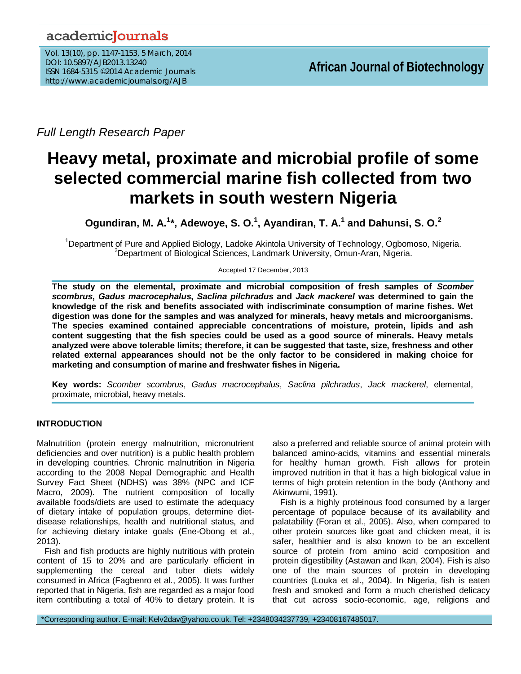# academicJournals

Vol. 13(10), pp. 1147-1153, 5 March, 2014 DOI: 10.5897/AJB2013.13240 ISSN 1684-5315 ©2014 Academic Journals http://www.academicjournals.org/AJB

*Full Length Research Paper*

# **Heavy metal, proximate and microbial profile of some selected commercial marine fish collected from two markets in south western Nigeria**

**Ogundiran, M. A.<sup>1</sup> \*, Adewoye, S. O.<sup>1</sup> , Ayandiran, T. A.<sup>1</sup> and Dahunsi, S. O.<sup>2</sup>**

<sup>1</sup>Department of Pure and Applied Biology, Ladoke Akintola University of Technology, Ogbomoso, Nigeria.<br><sup>2</sup>Department of Biological Sciences, Landmark University Omun Aran Nigeria. <sup>2</sup>Department of Biological Sciences, Landmark University, Omun-Aran, Nigeria.

Accepted 17 December, 2013

**The study on the elemental, proximate and microbial composition of fresh samples of** *Scomber scombrus***,** *Gadus macrocephalus***,** *Saclina pilchradus* **and** *Jack mackerel* **was determined to gain the knowledge of the risk and benefits associated with indiscriminate consumption of marine fishes. Wet digestion was done for the samples and was analyzed for minerals, heavy metals and microorganisms. The species examined contained appreciable concentrations of moisture, protein, lipids and ash content suggesting that the fish species could be used as a good source of minerals. Heavy metals analyzed were above tolerable limits; therefore, it can be suggested that taste, size, freshness and other related external appearances should not be the only factor to be considered in making choice for marketing and consumption of marine and freshwater fishes in Nigeria.**

**Key words:** *Scomber scombrus*, *Gadus macrocephalus*, *Saclina pilchradus*, *Jack mackerel*, elemental, proximate, microbial, heavy metals.

# **INTRODUCTION**

Malnutrition (protein energy malnutrition, micronutrient deficiencies and over nutrition) is a public health problem in developing countries. Chronic malnutrition in Nigeria according to the 2008 Nepal Demographic and Health Survey Fact Sheet (NDHS) was 38% (NPC and ICF Macro, 2009). The nutrient composition of locally available foods/diets are used to estimate the adequacy of dietary intake of population groups, determine dietdisease relationships, health and nutritional status, and for achieving dietary intake goals (Ene-Obong et al., 2013).

Fish and fish products are highly nutritious with protein content of 15 to 20% and are particularly efficient in supplementing the cereal and tuber diets widely consumed in Africa (Fagbenro et al., 2005). It was further reported that in Nigeria, fish are regarded as a major food item contributing a total of 40% to dietary protein. It is

also a preferred and reliable source of animal protein with balanced amino-acids, vitamins and essential minerals for healthy human growth. Fish allows for protein improved nutrition in that it has a high biological value in terms of high protein retention in the body (Anthony and Akinwumi, 1991).

Fish is a highly proteinous food consumed by a larger percentage of populace because of its availability and palatability (Foran et al., 2005). Also, when compared to other protein sources like goat and chicken meat, it is safer, healthier and is also known to be an excellent source of protein from amino acid composition and protein digestibility (Astawan and Ikan, 2004). Fish is also one of the main sources of protein in developing countries (Louka et al., 2004). In Nigeria, fish is eaten fresh and smoked and form a much cherished delicacy that cut across socio-economic, age, religions and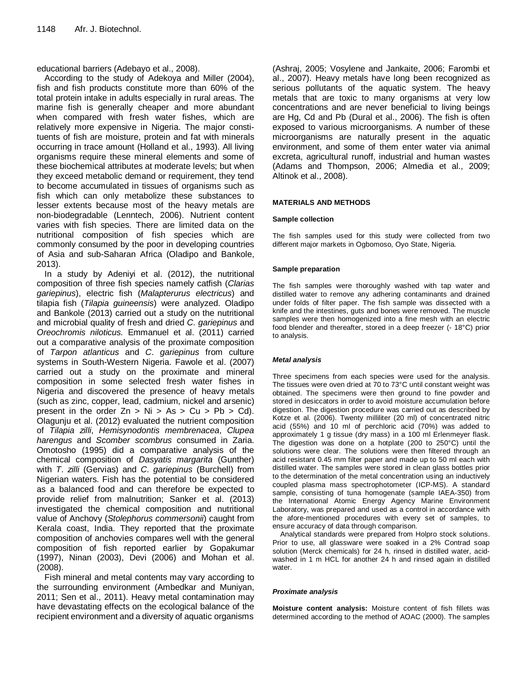educational barriers (Adebayo et al., 2008).

According to the study of Adekoya and Miller (2004), fish and fish products constitute more than 60% of the total protein intake in adults especially in rural areas. The marine fish is generally cheaper and more abundant when compared with fresh water fishes, which are relatively more expensive in Nigeria. The major constituents of fish are moisture, protein and fat with minerals occurring in trace amount (Holland et al., 1993). All living organisms require these mineral elements and some of these biochemical attributes at moderate levels; but when they exceed metabolic demand or requirement, they tend to become accumulated in tissues of organisms such as fish which can only metabolize these substances to lesser extents because most of the heavy metals are non-biodegradable (Lenntech, 2006). Nutrient content varies with fish species. There are limited data on the nutritional composition of fish species which are commonly consumed by the poor in developing countries of Asia and sub-Saharan Africa (Oladipo and Bankole, 2013).

In a study by Adeniyi et al. (2012), the nutritional composition of three fish species namely catfish (*Clarias gariepinus*), electric fish (*Malapterurus electricus*) and tilapia fish (*Tilapia guineensis*) were analyzed. Oladipo and Bankole (2013) carried out a study on the nutritional and microbial quality of fresh and dried *C*. *gariepinus* and *Oreochromis niloticus.* Emmanuel et al. (2011) carried out a comparative analysis of the proximate composition of *Tarpon atlanticus* and *C*. *gariepinus* from culture systems in South-Western Nigeria. Fawole et al. (2007) carried out a study on the proximate and mineral composition in some selected fresh water fishes in Nigeria and discovered the presence of heavy metals (such as zinc, copper, lead, cadmium, nickel and arsenic) present in the order  $Zn > Ni > As > Cu > Pb > Cd$ . Olagunju et al. (2012) evaluated the nutrient composition of *Tilapia zilli*, *Hemisynodontis membrenacea*, *Clupea harengus* and *Scomber scombrus* consumed in Zaria. Omotosho (1995) did a comparative analysis of the chemical composition of *Dasyatis margarita* (Gunther) with *T*. *zilli* (Gervias) and *C*. *gariepinus* (Burchell) from Nigerian waters. Fish has the potential to be considered as a balanced food and can therefore be expected to provide relief from malnutrition; Sanker et al. (2013) investigated the chemical composition and nutritional value of Anchovy (*Stolephorus commersonii*) caught from Kerala coast, India. They reported that the proximate composition of anchovies compares well with the general composition of fish reported earlier by Gopakumar (1997), Ninan (2003), Devi (2006) and Mohan et al. (2008).

Fish mineral and metal contents may vary according to the surrounding environment (Ambedkar and Muniyan, 2011; Sen et al., 2011). Heavy metal contamination may have devastating effects on the ecological balance of the recipient environment and a diversity of aquatic organisms (Ashraj, 2005; Vosylene and Jankaite, 2006; Farombi et al., 2007). Heavy metals have long been recognized as serious pollutants of the aquatic system. The heavy metals that are toxic to many organisms at very low concentrations and are never beneficial to living beings are Hg, Cd and Pb (Dural et al., 2006). The fish is often exposed to various microorganisms. A number of these microorganisms are naturally present in the aquatic environment, and some of them enter water via animal excreta, agricultural runoff, industrial and human wastes (Adams and Thompson, 2006; Almedia et al., 2009; Altinok et al., 2008).

#### **MATERIALS AND METHODS**

#### **Sample collection**

The fish samples used for this study were collected from two different major markets in Ogbomoso, Oyo State, Nigeria.

#### **Sample preparation**

The fish samples were thoroughly washed with tap water and distilled water to remove any adhering contaminants and drained under folds of filter paper. The fish sample was dissected with a knife and the intestines, guts and bones were removed. The muscle samples were then homogenized into a fine mesh with an electric food blender and thereafter, stored in a deep freezer (- 18°C) prior to analysis.

#### *Metal analysis*

Three specimens from each species were used for the analysis. The tissues were oven dried at 70 to 73°C until constant weight was obtained. The specimens were then ground to fine powder and stored in desiccators in order to avoid moisture accumulation before digestion. The digestion procedure was carried out as described by Kotze et al. (2006). Twenty milliliter (20 ml) of concentrated nitric acid (55%) and 10 ml of perchloric acid (70%) was added to approximately 1 g tissue (dry mass) in a 100 ml Erlenmeyer flask. The digestion was done on a hotplate (200 to 250°C) until the solutions were clear. The solutions were then filtered through an acid resistant 0.45 mm filter paper and made up to 50 ml each with distilled water. The samples were stored in clean glass bottles prior to the determination of the metal concentration using an inductively coupled plasma mass spectrophotometer (ICP-MS). A standard sample, consisting of tuna homogenate (sample IAEA-350) from the International Atomic Energy Agency Marine Environment Laboratory, was prepared and used as a control in accordance with the afore-mentioned procedures with every set of samples, to ensure accuracy of data through comparison.

Analytical standards were prepared from Holpro stock solutions. Prior to use, all glassware were soaked in a 2% Contrad soap solution (Merck chemicals) for 24 h, rinsed in distilled water, acidwashed in 1 m HCL for another 24 h and rinsed again in distilled water.

#### *Proximate analysis*

**Moisture content analysis:** Moisture content of fish fillets was determined according to the method of AOAC (2000). The samples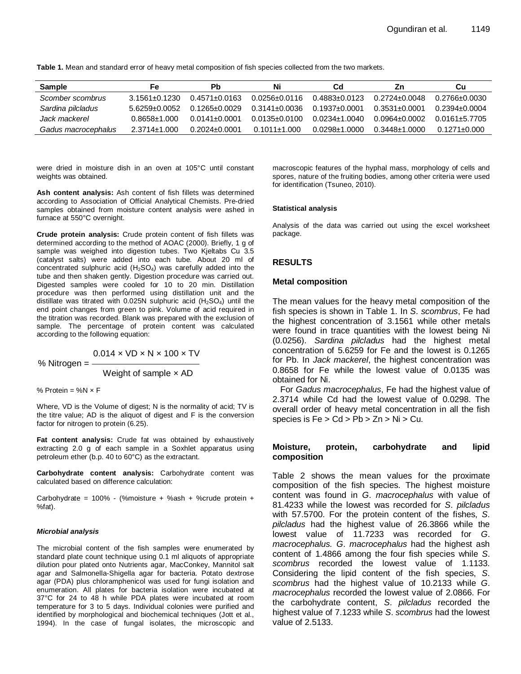**Table 1.** Mean and standard error of heavy metal composition of fish species collected from the two markets.

| Sample              | Fe                  | Pb.           | Ni               | Cd                | Ζn            | Cu               |
|---------------------|---------------------|---------------|------------------|-------------------|---------------|------------------|
| Scomber scombrus    | 3.1561+0.1230       | 0.4571+0.0163 | 0 0256+0 0116    | 0.4883+0.0123     | 0.2724+0.0048 | 0.2766+0.0030    |
| Sardina pilcladus   | $5.6259 \pm 0.0052$ | 0.1265+0.0029 | 0.3141+0.0036    | $0.1937 + 0.0001$ | 0.3531+0.0001 | 0.2394+0.0004    |
| Jack mackerel       | 0.8658+1.000        | 0.0141+0.0001 | 0.0135+0.0100    | $0.0234 + 1.0040$ | 0.0964+0.0002 | 0.0161+5.7705    |
| Gadus macrocephalus | $2.3714 + 1.000$    | 0.2024+0.0001 | $0.1011 + 1.000$ | $0.0298 + 1.0000$ | 0.3448+1.0000 | $0.1271 + 0.000$ |

were dried in moisture dish in an oven at 105°C until constant weights was obtained.

**Ash content analysis:** Ash content of fish fillets was determined according to Association of Official Analytical Chemists. Pre-dried samples obtained from moisture content analysis were ashed in furnace at 550°C overnight.

**Crude protein analysis:** Crude protein content of fish fillets was determined according to the method of AOAC (2000). Briefly, 1 g of sample was weighed into digestion tubes. Two Kjeltabs Cu 3.5 (catalyst salts) were added into each tube. About 20 ml of concentrated sulphuric acid  $(H<sub>2</sub>SO<sub>4</sub>)$  was carefully added into the tube and then shaken gently. Digestion procedure was carried out. Digested samples were cooled for 10 to 20 min. Distillation procedure was then performed using distillation unit and the distillate was titrated with 0.025N sulphuric acid  $(H<sub>2</sub>SO<sub>4</sub>)$  until the end point changes from green to pink. Volume of acid required in the titration was recorded. Blank was prepared with the exclusion of sample. The percentage of protein content was calculated according to the following equation:

 $0.014 \times \text{VD} \times \text{N} \times 100 \times \text{TV}$ 

% Nitrogen =

Weight of sample × AD

% Protein =  $%$ N  $\times$  F

Where, VD is the Volume of digest; N is the normality of acid; TV is the titre value; AD is the aliquot of digest and F is the conversion factor for nitrogen to protein (6.25).

**Fat content analysis:** Crude fat was obtained by exhaustively extracting 2.0 g of each sample in a Soxhlet apparatus using petroleum ether (b.p. 40 to 60°C) as the extractant.

**Carbohydrate content analysis:** Carbohydrate content was calculated based on difference calculation:

Carbohydrate = 100% - (%moisture + %ash + %crude protein + %fat).

#### *Microbial analysis*

The microbial content of the fish samples were enumerated by standard plate count technique using 0.1 ml aliquots of appropriate dilution pour plated onto Nutrients agar, MacConkey, Mannitol salt agar and Salmonella-Shigella agar for bacteria. Potato dextrose agar (PDA) plus chloramphenicol was used for fungi isolation and enumeration. All plates for bacteria isolation were incubated at 37°C for 24 to 48 h while PDA plates were incubated at room temperature for 3 to 5 days. Individual colonies were purified and identified by morphological and biochemical techniques (Jott et al., 1994). In the case of fungal isolates, the microscopic and macroscopic features of the hyphal mass, morphology of cells and spores, nature of the fruiting bodies, among other criteria were used for identification (Tsuneo, 2010).

#### **Statistical analysis**

Analysis of the data was carried out using the excel worksheet package.

# **RESULTS**

#### **Metal composition**

The mean values for the heavy metal composition of the fish species is shown in Table 1. In *S*. *scombrus*, Fe had the highest concentration of 3.1561 while other metals were found in trace quantities with the lowest being Ni (0.0256). *Sardina pilcladus* had the highest metal concentration of 5.6259 for Fe and the lowest is 0.1265 for Pb. In *Jack mackerel*, the highest concentration was 0.8658 for Fe while the lowest value of 0.0135 was obtained for Ni.

For *Gadus macrocephalus*, Fe had the highest value of 2.3714 while Cd had the lowest value of 0.0298. The overall order of heavy metal concentration in all the fish species is Fe > Cd > Pb > Zn > Ni > Cu.

### **Moisture, protein, carbohydrate and lipid composition**

Table 2 shows the mean values for the proximate composition of the fish species. The highest moisture content was found in *G*. *macrocephalus* with value of 81.4233 while the lowest was recorded for *S*. *pilcladus* with 57.5700. For the protein content of the fishes, *S*. *pilcladus* had the highest value of 26.3866 while the lowest value of 11.7233 was recorded for *G*. *macrocephalus. G*. *macrocephalus* had the highest ash content of 1.4866 among the four fish species while *S*. *scombrus* recorded the lowest value of 1.1133. Considering the lipid content of the fish species, *S*. *scombrus* had the highest value of 10.2133 while *G*. *macrocephalus* recorded the lowest value of 2.0866. For the carbohydrate content, *S*. *pilcladus* recorded the highest value of 7.1233 while *S*. *scombrus* had the lowest value of 2.5133.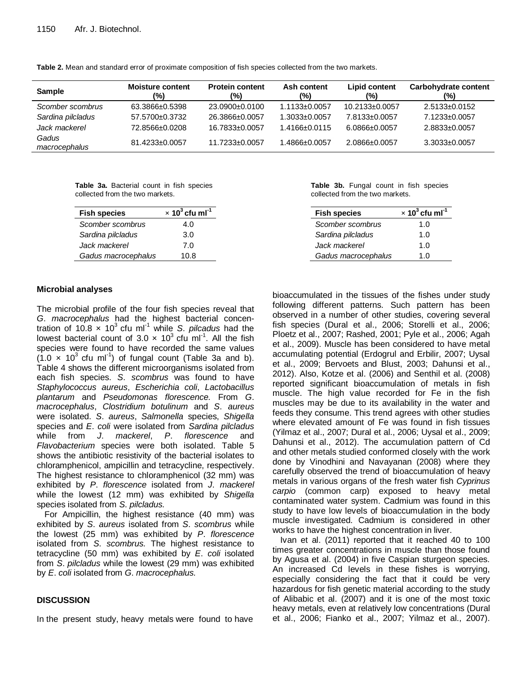| Sample                 | <b>Moisture content</b><br>(%) | <b>Protein content</b><br>(%) | Ash content<br>(%) | Lipid content<br>(%) | Carbohydrate content<br>(%) |
|------------------------|--------------------------------|-------------------------------|--------------------|----------------------|-----------------------------|
| Scomber scombrus       | 63.3866±0.5398                 | 23.0900±0.0100                | $1.1133+0.0057$    | 10.2133±0.0057       | $2.5133+0.0152$             |
| Sardina pilcladus      | 57.5700±0.3732                 | 26.3866+0.0057                | 1.3033+0.0057      | 7.8133+0.0057        | 7.1233±0.0057               |
| Jack mackerel          | 72.8566±0.0208                 | 16.7833±0.0057                | 1.4166±0.0115      | $6.0866 \pm 0.0057$  | $2.8833+0.0057$             |
| Gadus<br>macrocephalus | 81.4233±0.0057                 | 11.7233+0.0057                | 1.4866+0.0057      | $2.0866 \pm 0.0057$  | $3.3033\pm0.0057$           |

**Table 2.** Mean and standard error of proximate composition of fish species collected from the two markets.

**Table 3a.** Bacterial count in fish species collected from the two markets.

| <b>Fish species</b> | $\times$ 10 <sup>3</sup> cfu ml <sup>-1</sup> |  |  |
|---------------------|-----------------------------------------------|--|--|
| Scomber scombrus    | 4.0                                           |  |  |
| Sardina pilcladus   | 3.0                                           |  |  |
| Jack mackerel       | 7.0                                           |  |  |
| Gadus macrocephalus | 10.8                                          |  |  |

**Table 3b.** Fungal count in fish species collected from the two markets.

| <b>Fish species</b> | $\times$ 10 <sup>3</sup> cfu ml <sup>-1</sup> |  |  |
|---------------------|-----------------------------------------------|--|--|
| Scomber scombrus    | 1.0                                           |  |  |
| Sardina pilcladus   | 1.0                                           |  |  |
| Jack mackerel       | 1.0                                           |  |  |
| Gadus macrocephalus |                                               |  |  |

# **Microbial analyses**

The microbial profile of the four fish species reveal that *G*. *macrocephalus* had the highest bacterial concentration of 10.8 × 103 cfu ml-1 while *S*. *pilcadus* had the lowest bacterial count of  $3.0 \times 10^3$  cfu ml<sup>-1</sup>. All the fish species were found to have recorded the same values  $(1.0 \times 10^3 \text{ c}$ fu ml<sup>-1</sup>) of fungal count (Table 3a and b). Table 4 shows the different microorganisms isolated from each fish species. *S*. *scombrus* was found to have *Staphylococcus aureus*, *Escherichia coli*, *Lactobacillus plantarum* and *Pseudomonas florescence.* From *G*. *macrocephalus*, *Clostridium botulinum* and *S*. *aureus* were isolated. *S*. *aureus*, *Salmonella* species, *Shigella*  species and *E*. *coli* were isolated from *Sardina pilcladus* while from *J*. *mackerel*, *P*. *florescence* and *Flavobacterium* species were both isolated. Table 5 shows the antibiotic resistivity of the bacterial isolates to chloramphenicol, ampicillin and tetracycline, respectively. The highest resistance to chloramphenicol (32 mm) was exhibited by *P*. *florescence* isolated from *J*. *mackerel* while the lowest (12 mm) was exhibited by *Shigella*  species isolated from *S*. *pilcladus.*

For Ampicillin, the highest resistance (40 mm) was exhibited by *S*. *aureus* isolated from *S*. *scombrus* while the lowest (25 mm) was exhibited by *P*. *florescence*  isolated from *S*. *scombrus.* The highest resistance to tetracycline (50 mm) was exhibited by *E*. *coli* isolated from *S*. *pilcladus* while the lowest (29 mm) was exhibited by *E*. *coli* isolated from *G*. *macrocephalus.*

#### **DISCUSSION**

In the present study, heavy metals were found to have

bioaccumulated in the tissues of the fishes under study following different patterns. Such pattern has been observed in a number of other studies, covering several fish species (Dural et al., 2006; Storelli et al., 2006; Ploetz et al., 2007; Rashed, 2001; Pyle et al., 2006; Agah et al., 2009). Muscle has been considered to have metal accumulating potential (Erdogrul and Erbilir, 2007; Uysal et al., 2009; Bervoets and Blust, 2003; Dahunsi et al., 2012). Also, Kotze et al. (2006) and Senthil et al. (2008) reported significant bioaccumulation of metals in fish muscle. The high value recorded for Fe in the fish muscles may be due to its availability in the water and feeds they consume. This trend agrees with other studies where elevated amount of Fe was found in fish tissues (Yilmaz et al., 2007; Dural et al., 2006; Uysal et al., 2009; Dahunsi et al., 2012). The accumulation pattern of Cd and other metals studied conformed closely with the work done by Vinodhini and Navayanan (2008) where they carefully observed the trend of bioaccumulation of heavy metals in various organs of the fresh water fish *Cyprinus carpio* (common carp) exposed to heavy metal contaminated water system. Cadmium was found in this study to have low levels of bioaccumulation in the body muscle investigated. Cadmium is considered in other works to have the highest concentration in liver.

Ivan et al. (2011) reported that it reached 40 to 100 times greater concentrations in muscle than those found by Agusa et al. (2004) in five Caspian sturgeon species. An increased Cd levels in these fishes is worrying, especially considering the fact that it could be very hazardous for fish genetic material according to the study of Alibabic et al. (2007) and it is one of the most toxic heavy metals, even at relatively low concentrations (Dural et al., 2006; Fianko et al., 2007; Yilmaz et al., 2007).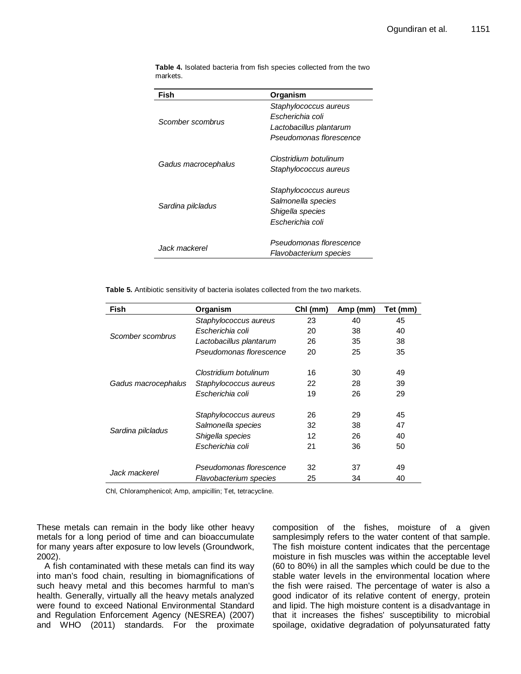| Fish                | Organism                |  |  |
|---------------------|-------------------------|--|--|
|                     | Staphylococcus aureus   |  |  |
| Scomber scombrus    | Escherichia coli        |  |  |
|                     | Lactobacillus plantarum |  |  |
|                     | Pseudomonas florescence |  |  |
|                     | Clostridium botulinum   |  |  |
| Gadus macrocephalus | Staphylococcus aureus   |  |  |
|                     | Staphylococcus aureus   |  |  |
|                     | Salmonella species      |  |  |
| Sardina pilcladus   | Shigella species        |  |  |
|                     | Fscherichia coli        |  |  |
|                     | Pseudomonas florescence |  |  |
| Jack mackerel       | Flavobacterium species  |  |  |

**Table 4.** Isolated bacteria from fish species collected from the two markets.

**Table 5.** Antibiotic sensitivity of bacteria isolates collected from the two markets.

| <b>Fish</b>         | Organism                |    | Amp (mm) | Tet (mm) |
|---------------------|-------------------------|----|----------|----------|
|                     | Staphylococcus aureus   | 23 | 40       | 45       |
| Scomber scombrus    | Escherichia coli        | 20 | 38       | 40       |
|                     | Lactobacillus plantarum | 26 | 35       | 38       |
|                     | Pseudomonas florescence | 20 | 25       | 35       |
| Gadus macrocephalus | Clostridium botulinum   | 16 | 30       | 49       |
|                     | Staphylococcus aureus   | 22 | 28       | 39       |
|                     | Escherichia coli        | 19 | 26       | 29       |
|                     | Staphylococcus aureus   | 26 | 29       | 45       |
|                     | Salmonella species      | 32 | 38       | 47       |
| Sardina pilcladus   | Shigella species        | 12 | 26       | 40       |
|                     | Escherichia coli        | 21 | 36       | 50       |
|                     | Pseudomonas florescence | 32 | 37       | 49       |
| Jack mackerel       | Flavobacterium species  | 25 | 34       | 40       |

Chl, Chloramphenicol; Amp, ampicillin; Tet, tetracycline.

These metals can remain in the body like other heavy metals for a long period of time and can bioaccumulate for many years after exposure to low levels (Groundwork, 2002).

A fish contaminated with these metals can find its way into man's food chain, resulting in biomagnifications of such heavy metal and this becomes harmful to man's health. Generally, virtually all the heavy metals analyzed were found to exceed National Environmental Standard and Regulation Enforcement Agency (NESREA) (2007) and WHO (2011) standards. For the proximate

composition of the fishes, moisture of a given samplesimply refers to the water content of that sample. The fish moisture content indicates that the percentage moisture in fish muscles was within the acceptable level (60 to 80%) in all the samples which could be due to the stable water levels in the environmental location where the fish were raised. The percentage of water is also a good indicator of its relative content of energy, protein and lipid. The high moisture content is a disadvantage in that it increases the fishes' susceptibility to microbial spoilage, oxidative degradation of polyunsaturated fatty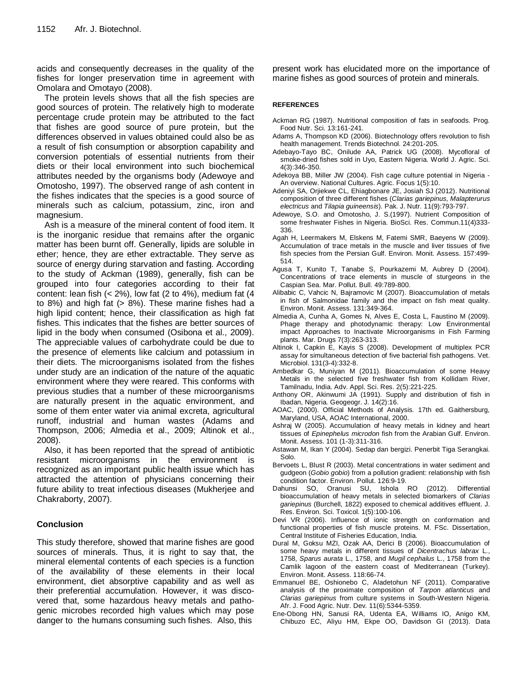acids and consequently decreases in the quality of the fishes for longer preservation time in agreement with Omolara and Omotayo (2008).

The protein levels shows that all the fish species are good sources of protein. The relatively high to moderate percentage crude protein may be attributed to the fact that fishes are good source of pure protein, but the differences observed in values obtained could also be as a result of fish consumption or absorption capability and conversion potentials of essential nutrients from their diets or their local environment into such biochemical attributes needed by the organisms body (Adewoye and Omotosho, 1997). The observed range of ash content in the fishes indicates that the species is a good source of minerals such as calcium, potassium, zinc, iron and magnesium.

Ash is a measure of the mineral content of food item. It is the inorganic residue that remains after the organic matter has been burnt off. Generally, lipids are soluble in ether; hence, they are ether extractable. They serve as source of energy during starvation and fasting. According to the study of Ackman (1989), generally, fish can be grouped into four categories according to their fat content: lean fish (< 2%), low fat (2 to 4%), medium fat (4 to 8%) and high fat (> 8%). These marine fishes had a high lipid content; hence, their classification as high fat fishes. This indicates that the fishes are better sources of lipid in the body when consumed (Osibona et al., 2009). The appreciable values of carbohydrate could be due to the presence of elements like calcium and potassium in their diets. The microorganisms isolated from the fishes under study are an indication of the nature of the aquatic environment where they were reared. This conforms with previous studies that a number of these microorganisms are naturally present in the aquatic environment, and some of them enter water via animal excreta, agricultural runoff, industrial and human wastes (Adams and Thompson, 2006; Almedia et al., 2009; Altinok et al., 2008).

Also, it has been reported that the spread of antibiotic resistant microorganisms in the environment is recognized as an important public health issue which has attracted the attention of physicians concerning their future ability to treat infectious diseases (Mukherjee and Chakraborty, 2007).

# **Conclusion**

This study therefore, showed that marine fishes are good sources of minerals. Thus, it is right to say that, the mineral elemental contents of each species is a function of the availability of these elements in their local environment, diet absorptive capability and as well as their preferential accumulation. However, it was discovered that, some hazardous heavy metals and pathogenic microbes recorded high values which may pose danger to the humans consuming such fishes. Also, this

present work has elucidated more on the importance of marine fishes as good sources of protein and minerals.

#### **REFERENCES**

- Ackman RG (1987). Nutritional composition of fats in seafoods. Prog. Food Nutr. Sci. 13:161-241.
- Adams A, Thompson KD (2006). Biotechnology offers revolution to fish health management. Trends Biotechnol. 24:201-205.
- Adebayo-Tayo BC, Onilude AA, Patrick UG (2008). Mycofloral of smoke-dried fishes sold in Uyo, Eastern Nigeria. World J. Agric. Sci. 4(3):346-350.
- Adekoya BB, Miller JW (2004). Fish cage culture potential in Nigeria An overview. National Cultures. Agric. Focus 1(5):10.
- Adeniyi SA, Orjiekwe CL, Ehiagbonare JE, Josiah SJ (2012). Nutritional composition of three different fishes (*Clarias gariepinus, Malapterurus electricus* and *Tilapia guineensis*). Pak. J. Nutr*.* 11(9):793-797.
- Adewoye, S.O. and Omotosho, J. S.(1997). Nutrient Composition of some freshwater Fishes in Nigeria. BioSci. Res. Commun.11(4)333- 336.
- Agah H, Leermakers M, Elskens M, Fatemi SMR, Baeyens W (2009). Accumulation of trace metals in the muscle and liver tissues of five fish species from the Persian Gulf. Environ. Monit. Assess. 157:499- 514.
- Agusa T, Kunito T, Tanabe S, Pourkazemi M, Aubrey D (2004). Concentrations of trace elements in muscle of sturgeons in the Caspian Sea. Mar. Pollut. Bull. 49:789-800.
- Alibabic C, Vahcic N, Bajramovic M (2007). Bioaccumulation of metals in fish of Salmonidae family and the impact on fish meat quality. Environ. Monit. Assess. 131:349-364.
- Almedia A, Cunha A, Gomes N, Alves E, Costa L, Faustino M (2009). Phage therapy and photodynamic therapy: Low Environmental impact Approaches to Inactivate Microorganisms in Fish Farming plants. Mar. Drugs 7(3):263-313.
- Altinok I, Capkin E, Kayis S (2008). Development of multiplex PCR assay for simultaneous detection of five bacterial fish pathogens. Vet. Microbiol. 131(3-4):332-8.
- Ambedkar G, Muniyan M (2011). Bioaccumulation of some Heavy Metals in the selected five freshwater fish from Kollidam River, Tamilnadu, India. Adv. Appl. Sci. Res. 2(5):221-225.
- Anthony OR, Akinwumi JA (1991). Supply and distribution of fish in Ibadan, Nigeria. Geogeogr. J*.* 14(2):16.
- AOAC, (2000). Official Methods of Analysis*.* 17th ed. Gaithersburg, Maryland, USA, AOAC International, 2000.
- Ashraj W (2005). Accumulation of heavy metals in kidney and heart tissues of *Epinephelus microdon* fish from the Arabian Gulf. Environ. Monit. Assess. 101 (1-3):311-316.
- Astawan M, Ikan Y (2004). Sedap dan bergizi. Penerbit Tiga Serangkai. Solo.
- Bervoets L, Blust R (2003). Metal concentrations in water sediment and gudgeon (*Gobio gobio*) from a pollution gradient: relationship with fish condition factor. Environ. Pollut. 126:9-19.
- Dahunsi SO, Oranusi SU, Ishola RO (2012). Differential bioaccumulation of heavy metals in selected biomarkers of *Clarias gariepinus* (Burchell, 1822) exposed to chemical additives effluent. J. Res. Environ. Sci. Toxicol. 1(5):100-106.
- Devi VR (2006). Influence of ionic strength on conformation and functional properties of fish muscle proteins. M. FSc. Dissertation, Central Institute of Fisheries Education, India.
- Dural M, Goksu MZI, Ozak AA, Derici B (2006). Bioaccumulation of some heavy metals in different tissues of *Dicentrachus labrax* L., 1758, *Sparus aurata* L., 1758, and *Mugil cephalus* L., 1758 from the Camlik lagoon of the eastern coast of Mediterranean (Turkey). Environ. Monit. Assess. 118:66-74.
- Emmanuel BE, Oshionebo C, Aladetohun NF (2011). Comparative analysis of the proximate composition of *Tarpon atlanticus* and *Clarias gariepinus* from culture systems in South-Western Nigeria. Afr. J. Food Agric. Nutr. Dev*.* 11(6):5344-5359.
- Ene-Obong HN, Sanusi RA, Udenta EA, Williams IO, Anigo KM, Chibuzo EC, Aliyu HM, Ekpe OO, Davidson GI (2013). Data